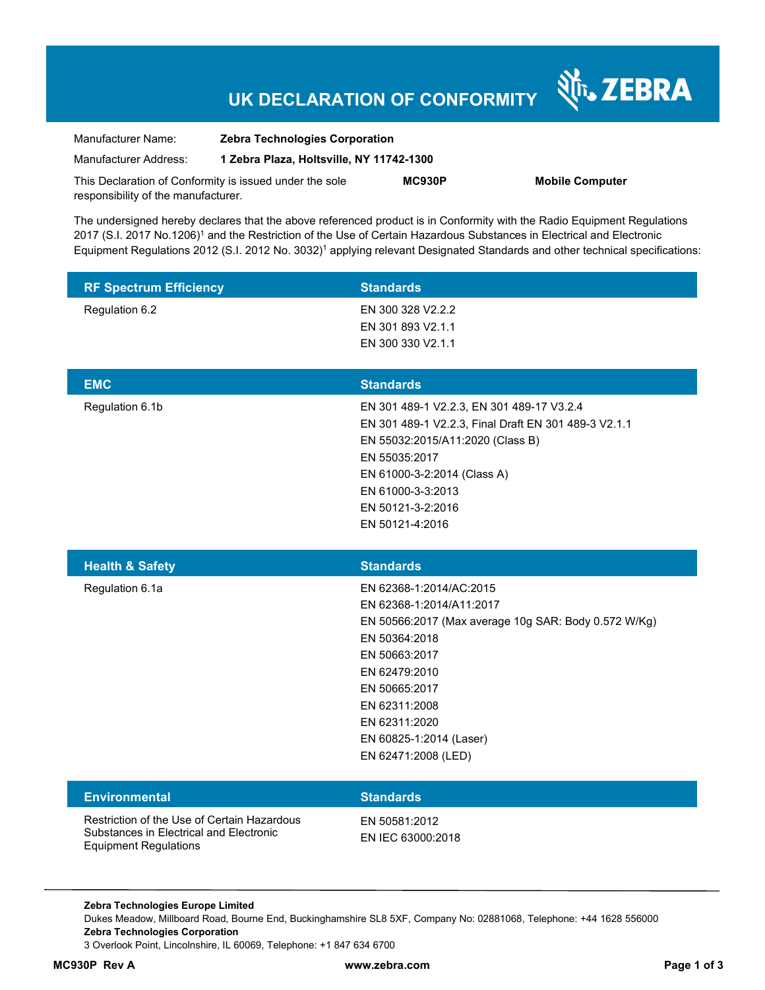# **UK DECLARATION OF CONFORMITY**

Nr. ZEBRA

| Manufacturer Name:                                      | <b>Zebra Technologies Corporation</b><br>1 Zebra Plaza, Holtsville, NY 11742-1300 |               |                        |
|---------------------------------------------------------|-----------------------------------------------------------------------------------|---------------|------------------------|
| Manufacturer Address:                                   |                                                                                   |               |                        |
| This Declaration of Conformity is issued under the sole |                                                                                   | <b>MC930P</b> | <b>Mobile Computer</b> |
| responsibility of the manufacturer.                     |                                                                                   |               |                        |

The undersigned hereby declares that the above referenced product is in Conformity with the Radio Equipment Regulations 2017 (S.I. 2017 No.1206)<sup>1</sup> and the Restriction of the Use of Certain Hazardous Substances in Electrical and Electronic Equipment Regulations 2012 (S.I. 2012 No. 3032)<sup>1</sup> applying relevant Designated Standards and other technical specifications:

| <b>RF Spectrum Efficiency</b>                                                                                          | <b>Standards</b>                                                                                                                                                                                                                                                    |
|------------------------------------------------------------------------------------------------------------------------|---------------------------------------------------------------------------------------------------------------------------------------------------------------------------------------------------------------------------------------------------------------------|
| Regulation 6.2                                                                                                         | EN 300 328 V2.2.2<br>EN 301 893 V2.1.1<br>EN 300 330 V2.1.1                                                                                                                                                                                                         |
| <b>EMC</b>                                                                                                             | <b>Standards</b>                                                                                                                                                                                                                                                    |
| Regulation 6.1b                                                                                                        | EN 301 489-1 V2.2.3, EN 301 489-17 V3.2.4<br>EN 301 489-1 V2.2.3, Final Draft EN 301 489-3 V2.1.1<br>EN 55032:2015/A11:2020 (Class B)<br>EN 55035:2017<br>EN 61000-3-2:2014 (Class A)<br>EN 61000-3-3:2013<br>EN 50121-3-2:2016<br>EN 50121-4:2016                  |
| <b>Health &amp; Safety</b>                                                                                             | <b>Standards</b>                                                                                                                                                                                                                                                    |
| Regulation 6.1a                                                                                                        | EN 62368-1:2014/AC:2015<br>EN 62368-1:2014/A11:2017<br>EN 50566:2017 (Max average 10g SAR: Body 0.572 W/Kg)<br>EN 50364:2018<br>EN 50663:2017<br>EN 62479:2010<br>EN 50665:2017<br>EN 62311:2008<br>EN 62311:2020<br>EN 60825-1:2014 (Laser)<br>EN 62471:2008 (LED) |
| <b>Environmental</b>                                                                                                   | <b>Standards</b>                                                                                                                                                                                                                                                    |
| Restriction of the Use of Certain Hazardous<br>Substances in Electrical and Electronic<br><b>Equipment Regulations</b> | EN 50581:2012<br>EN IEC 63000:2018                                                                                                                                                                                                                                  |

**Zebra Technologies Europe Limited**  Dukes Meadow, Millboard Road, Bourne End, Buckinghamshire SL8 5XF, Company No: 02881068, Telephone: +44 1628 556000 **Zebra Technologies Corporation**  3 Overlook Point, Lincolnshire, IL 60069, Telephone: +1 847 634 6700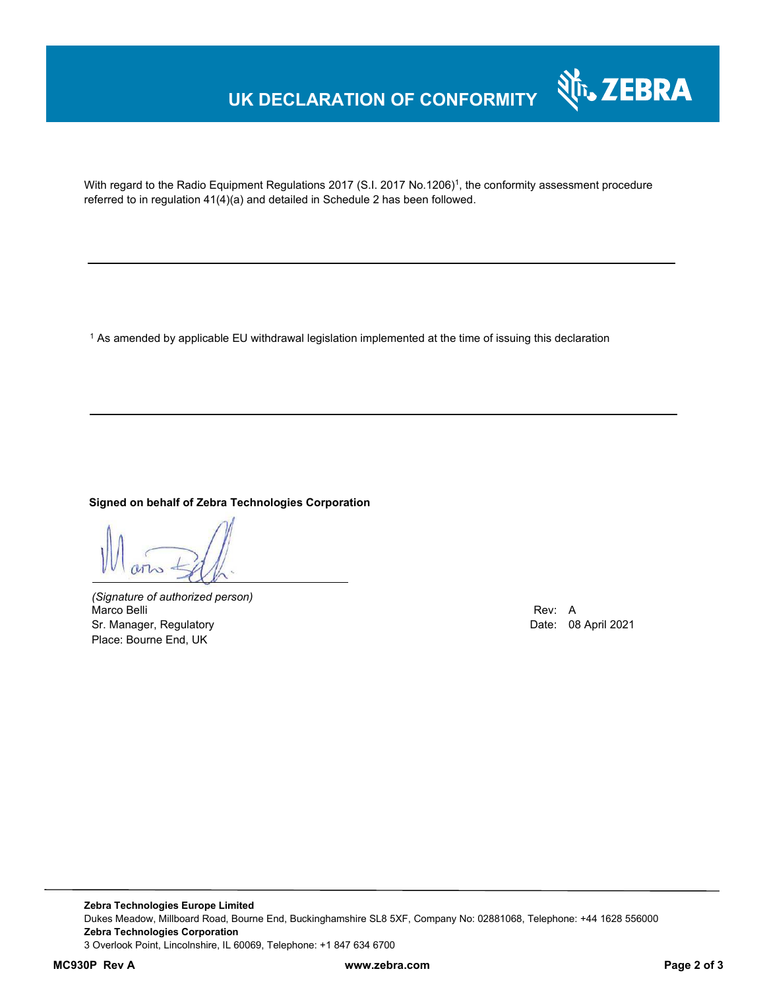# **UK DECLARATION OF CONFORMITY**



With regard to the Radio Equipment Regulations 2017 (S.I. 2017 No.1206)<sup>1</sup>, the conformity assessment procedure referred to in regulation 41(4)(a) and detailed in Schedule 2 has been followed.

1 As amended by applicable EU withdrawal legislation implemented at the time of issuing this declaration

#### **Signed on behalf of Zebra Technologies Corporation**

*(Signature of authorized person)* Marco Belli Rev: A Alexander Company of the Company of the Company of the Company of the Company of the Company of the Company of the Company of the Company of the Company of the Company of the Company of the Company of th Sr. Manager, Regulatory **Date: 08 April 2021** Place: Bourne End, UK